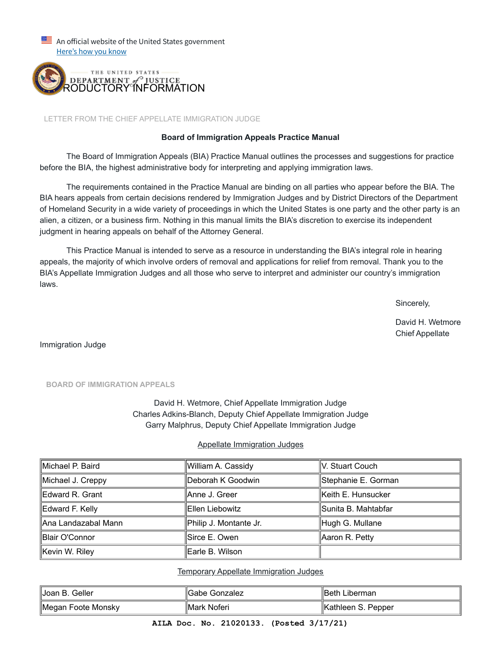$\equiv$  An official website of the United States government Here's how you know



LETTER FROM THE CHIEF APPELLATE IMMIGRATION JUDGE

## **Board of Immigration Appeals Practice Manual**

 The Board of Immigration Appeals (BIA) Practice Manual outlines the processes and suggestions for practice before the BIA, the highest administrative body for interpreting and applying immigration laws.

 The requirements contained in the Practice Manual are binding on all parties who appear before the BIA. The BIA hears appeals from certain decisions rendered by Immigration Judges and by District Directors of the Department of Homeland Security in a wide variety of proceedings in which the United States is one party and the other party is an alien, a citizen, or a business firm. Nothing in this manual limits the BIA's discretion to exercise its independent judgment in hearing appeals on behalf of the Attorney General.

 This Practice Manual is intended to serve as a resource in understanding the BIA's integral role in hearing appeals, the majority of which involve orders of removal and applications for relief from removal. Thank you to the BIA's Appellate Immigration Judges and all those who serve to interpret and administer our country's immigration laws.

Sincerely,

David H. Wetmore Chief Appellate

Immigration Judge

**BOARD OF IMMIGRATION APPEALS**

David H. Wetmore, Chief Appellate Immigration Judge Charles Adkins-Blanch, Deputy Chief Appellate Immigration Judge Garry Malphrus, Deputy Chief Appellate Immigration Judge

## Appellate Immigration Judges

| ∥Michael P. Baird    | William A. Cassidy     | ∥V. Stuart Couch     |
|----------------------|------------------------|----------------------|
| Michael J. Creppy    | ∥Deborah K Goodwin     | Stephanie E. Gorman  |
| Edward R. Grant      | llAnne J. Greer        | Keith E. Hunsucker   |
| Edward F. Kelly      | llEllen Liebowitz      | ∥Sunita B. Mahtabfar |
| ∥Ana Landazabal Mann | Philip J. Montante Jr. | Hugh G. Mullane      |
| Blair O'Connor       | Sirce E. Owen          | Aaron R. Petty       |
| Kevin W. Riley       | Earle B. Wilson        |                      |

Temporary Appellate Immigration Judges

| ∥Joan B. Geller    | ∥Gabe Gonzalez | ∥Beth Liberman      |
|--------------------|----------------|---------------------|
| Megan Foote Monsky | ∥Mark Noferi   | ∥Kathleen S. Pepper |